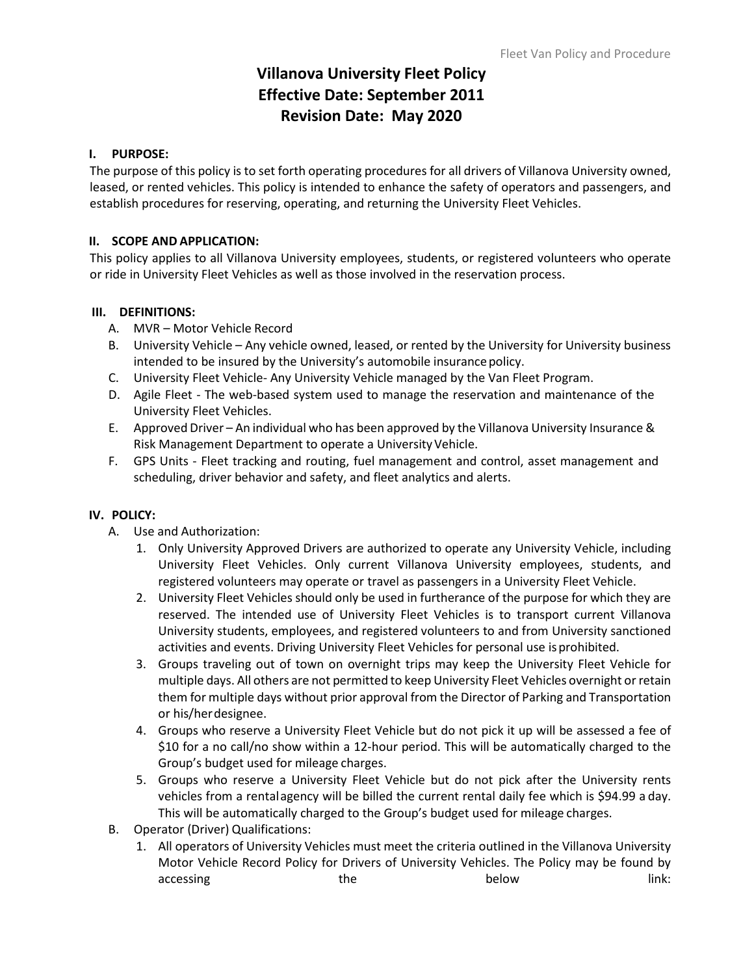# **Villanova University Fleet Policy Effective Date: September 2011 Revision Date: May 2020**

#### **I. PURPOSE:**

The purpose of this policy is to set forth operating procedures for all drivers of Villanova University owned, leased, or rented vehicles. This policy is intended to enhance the safety of operators and passengers, and establish procedures for reserving, operating, and returning the University Fleet Vehicles.

### **II. SCOPE AND APPLICATION:**

This policy applies to all Villanova University employees, students, or registered volunteers who operate or ride in University Fleet Vehicles as well as those involved in the reservation process.

## **III. DEFINITIONS:**

- A. MVR Motor Vehicle Record
- B. University Vehicle Any vehicle owned, leased, or rented by the University for University business intended to be insured by the University's automobile insurance policy.
- C. University Fleet Vehicle- Any University Vehicle managed by the Van Fleet Program.
- D. Agile Fleet The web-based system used to manage the reservation and maintenance of the University Fleet Vehicles.
- E. Approved Driver An individual who has been approved by the Villanova University Insurance & Risk Management Department to operate a University Vehicle.
- F. GPS Units Fleet tracking and routing, fuel management and control, asset management and scheduling, driver behavior and safety, and fleet analytics and alerts.

#### **IV. POLICY:**

- A. Use and Authorization:
	- 1. Only University Approved Drivers are authorized to operate any University Vehicle, including University Fleet Vehicles. Only current Villanova University employees, students, and registered volunteers may operate or travel as passengers in a University Fleet Vehicle.
	- 2. University Fleet Vehicles should only be used in furtherance of the purpose for which they are reserved. The intended use of University Fleet Vehicles is to transport current Villanova University students, employees, and registered volunteers to and from University sanctioned activities and events. Driving University Fleet Vehicles for personal use isprohibited.
	- 3. Groups traveling out of town on overnight trips may keep the University Fleet Vehicle for multiple days. All others are not permitted to keep University Fleet Vehicles overnight or retain them for multiple days without prior approval from the Director of Parking and Transportation or his/herdesignee.
	- 4. Groups who reserve a University Fleet Vehicle but do not pick it up will be assessed a fee of \$10 for a no call/no show within a 12-hour period. This will be automatically charged to the Group's budget used for mileage charges.
	- 5. Groups who reserve a University Fleet Vehicle but do not pick after the University rents vehicles from a rentalagency will be billed the current rental daily fee which is \$94.99 a day. This will be automatically charged to the Group's budget used for mileage charges.
- B. Operator (Driver) Qualifications:
	- 1. All operators of University Vehicles must meet the criteria outlined in the Villanova University Motor Vehicle Record Policy for Drivers of University Vehicles. The Policy may be found by accessing and the below below here hink: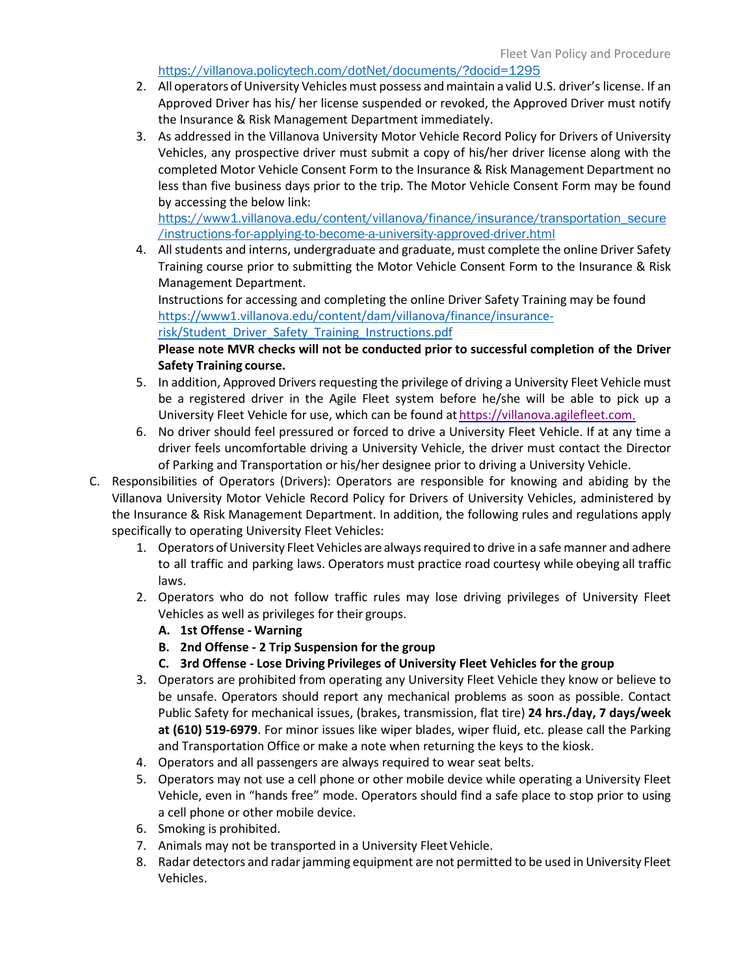#### <https://villanova.policytech.com/dotNet/documents/?docid=1295>

- 2. All operators of University Vehicles must possess and maintain a valid U.S. driver's license. If an Approved Driver has his/ her license suspended or revoked, the Approved Driver must notify the Insurance & Risk Management Department immediately.
- 3. As addressed in the Villanova University Motor Vehicle Record Policy for Drivers of University Vehicles, any prospective driver must submit a copy of his/her driver license along with the completed Motor Vehicle Consent Form to the Insurance & Risk Management Department no less than five business days prior to the trip. The Motor [Vehicle Consent Form may be found](https://www1.villanova.edu/content/dam/villanova/finance/insurance-risk/MVR_Consent_Form-Students.pdf)  [by accessing the below link:](https://www1.villanova.edu/content/dam/villanova/finance/insurance-risk/MVR_Consent_Form-Students.pdf)

[https://www1.villanova.edu/content/villanova/finance/insurance/transportation\\_secure](https://www1.villanova.edu/content/villanova/finance/insurance/transportation_secure/instructions-for-applying-to-become-a-university-approved-driver.html) [/instructions-for-applying-to-become-a-university-approved-driver.html](https://www1.villanova.edu/content/villanova/finance/insurance/transportation_secure/instructions-for-applying-to-become-a-university-approved-driver.html)

4. All students and interns, undergraduate and graduate, must complete the online Driver Safety Training course prior to submitting the Motor Vehicle Consent Form to the Insurance & Risk Management Department.

Instructions for accessing and completing the online Driver Safety Training may be found [https://www1.villanova.edu/content/dam/villanova/finance/insurance-](https://www1.villanova.edu/content/dam/villanova/finance/insurance-risk/Student_Driver_Safety_Training_Instructions.pdf)

[risk/Student\\_Driver\\_Safety\\_Training\\_Instructions.pdf](https://www1.villanova.edu/content/dam/villanova/finance/insurance-risk/Student_Driver_Safety_Training_Instructions.pdf)

## **Please note MVR checks will not be conducted prior to successful completion of the Driver Safety Training course.**

- 5. In addition, Approved Drivers requesting the privilege of driving a University Fleet Vehicle must be a registered driver in the Agile Fleet system before he/she will be able to pick up a University Fleet Vehicle for use, which can be found at [https://villanova.agilefleet.com.](https://villanova.agilefleet.com/)
- 6. No driver should feel pressured or forced to drive a University Fleet Vehicle. If at any time a driver feels uncomfortable driving a University Vehicle, the driver must contact the Director of Parking and Transportation or his/her designee prior to driving a University Vehicle.
- C. Responsibilities of Operators (Drivers): Operators are responsible for knowing and abiding by the Villanova University Motor Vehicle Record Policy for Drivers of University Vehicles, administered by the Insurance & Risk Management Department. In addition, the following rules and regulations apply specifically to operating University Fleet Vehicles:
	- 1. Operators of University Fleet Vehicles are always required to drive in a safe manner and adhere to all traffic and parking laws. Operators must practice road courtesy while obeying all traffic laws.
	- 2. Operators who do not follow traffic rules may lose driving privileges of University Fleet Vehicles as well as privileges for their groups.
		- **A. 1st Offense ‐ Warning**
		- **B. 2nd Offense ‐ 2 Trip Suspension for the group**
		- **C. 3rd Offense ‐ Lose Driving Privileges of University Fleet Vehicles for the group**
	- 3. Operators are prohibited from operating any University Fleet Vehicle they know or believe to be unsafe. Operators should report any mechanical problems as soon as possible. Contact Public Safety for mechanical issues, (brakes, transmission, flat tire) **24 hrs./day, 7 days/week at (610) 519‐6979**. For minor issues like wiper blades, wiper fluid, etc. please call the Parking and Transportation Office or make a note when returning the keys to the kiosk.
	- 4. Operators and all passengers are always required to wear seat belts.
	- 5. Operators may not use a cell phone or other mobile device while operating a University Fleet Vehicle, even in "hands free" mode. Operators should find a safe place to stop prior to using a cell phone or other mobile device.
	- 6. Smoking is prohibited.
	- 7. Animals may not be transported in a University Fleet Vehicle.
	- 8. Radar detectors and radar jamming equipment are not permitted to be used in University Fleet Vehicles.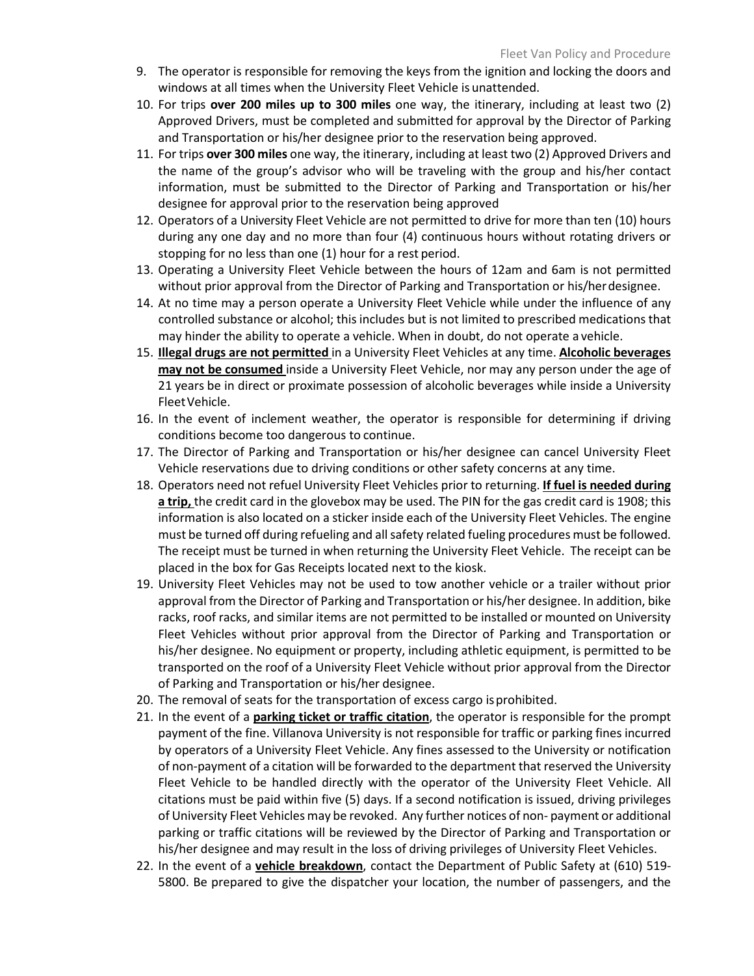- 9. The operator is responsible for removing the keys from the ignition and locking the doors and windows at all times when the University Fleet Vehicle is unattended.
- 10. For trips **over 200 miles up to 300 miles** one way, the itinerary, including at least two (2) Approved Drivers, must be completed and submitted for approval by the Director of Parking and Transportation or his/her designee prior to the reservation being approved.
- 11. For trips **over 300 miles** one way, the itinerary, including at least two (2) Approved Drivers and the name of the group's advisor who will be traveling with the group and his/her contact information, must be submitted to the Director of Parking and Transportation or his/her designee for approval prior to the reservation being approved
- 12. Operators of a University Fleet Vehicle are not permitted to drive for more than ten (10) hours during any one day and no more than four (4) continuous hours without rotating drivers or stopping for no less than one (1) hour for a rest period.
- 13. Operating a University Fleet Vehicle between the hours of 12am and 6am is not permitted without prior approval from the Director of Parking and Transportation or his/herdesignee.
- 14. At no time may a person operate a University Fleet Vehicle while under the influence of any controlled substance or alcohol; this includes but is not limited to prescribed medications that may hinder the ability to operate a vehicle. When in doubt, do not operate a vehicle.
- 15. **Illegal drugs are not permitted** in a University Fleet Vehicles at any time. **Alcoholic beverages may not be consumed** inside a University Fleet Vehicle, nor may any person under the age of 21 years be in direct or proximate possession of alcoholic beverages while inside a University FleetVehicle.
- 16. In the event of inclement weather, the operator is responsible for determining if driving conditions become too dangerous to continue.
- 17. The Director of Parking and Transportation or his/her designee can cancel University Fleet Vehicle reservations due to driving conditions or other safety concerns at any time.
- 18. Operators need not refuel University Fleet Vehicles prior to returning. **If fuel is needed during a trip,** the credit card in the glovebox may be used. The PIN for the gas credit card is 1908; this information is also located on a sticker inside each of the University Fleet Vehicles. The engine must be turned off during refueling and all safety related fueling procedures must be followed. The receipt must be turned in when returning the University Fleet Vehicle. The receipt can be placed in the box for Gas Receipts located next to the kiosk.
- 19. University Fleet Vehicles may not be used to tow another vehicle or a trailer without prior approval from the Director of Parking and Transportation or his/her designee. In addition, bike racks, roof racks, and similar items are not permitted to be installed or mounted on University Fleet Vehicles without prior approval from the Director of Parking and Transportation or his/her designee. No equipment or property, including athletic equipment, is permitted to be transported on the roof of a University Fleet Vehicle without prior approval from the Director of Parking and Transportation or his/her designee.
- 20. The removal of seats for the transportation of excess cargo isprohibited.
- 21. In the event of a **parking ticket or traffic citation**, the operator is responsible for the prompt payment of the fine. Villanova University is not responsible for traffic or parking fines incurred by operators of a University Fleet Vehicle. Any fines assessed to the University or notification of non-payment of a citation will be forwarded to the department that reserved the University Fleet Vehicle to be handled directly with the operator of the University Fleet Vehicle. All citations must be paid within five (5) days. If a second notification is issued, driving privileges of University Fleet Vehicles may be revoked. Any further notices of non- payment or additional parking or traffic citations will be reviewed by the Director of Parking and Transportation or his/her designee and may result in the loss of driving privileges of University Fleet Vehicles.
- 22. In the event of a **vehicle breakdown**, contact the Department of Public Safety at (610) 519- 5800. Be prepared to give the dispatcher your location, the number of passengers, and the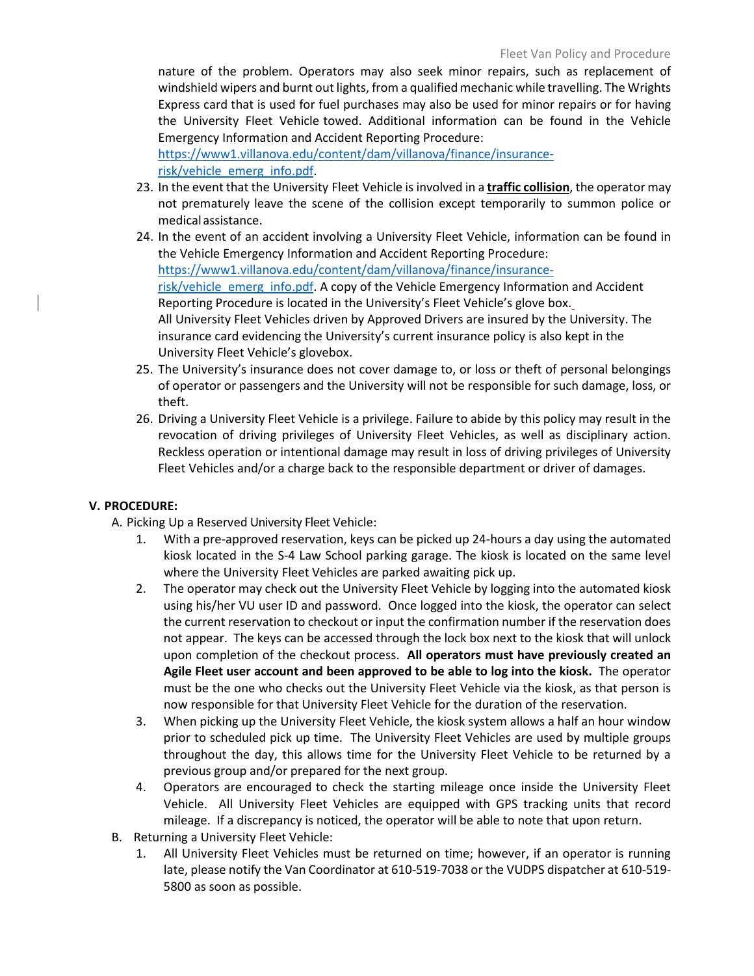nature of the problem. Operators may also seek minor repairs, such as replacement of windshield wipers and burnt out lights, from a qualified mechanic while travelling. The Wrights Express card that is used for fuel purchases may also be used for minor repairs or for having the University Fleet Vehicle towed. Additional information can be found in the Vehicle Emergency Information and Accident Reporting Procedure:

[https://www1.villanova.edu/content/dam/villanova/finance/insurance](https://www1.villanova.edu/content/dam/villanova/finance/insurance-risk/vehicle_emerg_info.pdf)[risk/vehicle\\_emerg\\_info.pdf.](https://www1.villanova.edu/content/dam/villanova/finance/insurance-risk/vehicle_emerg_info.pdf)

- 23. In the event that the University Fleet Vehicle is involved in a **traffic collision**, the operator may not prematurely leave the scene of the collision except temporarily to summon police or medicalassistance.
- 24. In the event of an accident involving a University Fleet Vehicle, information can be found in the Vehicle Emergency Information and Accident Reporting Procedure: [https://www1.villanova.edu/content/dam/villanova/finance/insurance](https://www1.villanova.edu/content/dam/villanova/finance/insurance-risk/vehicle_emerg_info.pdf)[risk/vehicle\\_emerg\\_info.pdf.](https://www1.villanova.edu/content/dam/villanova/finance/insurance-risk/vehicle_emerg_info.pdf) A copy of the Vehicle Emergency Information and Accident Reporting Procedure is located in the University's Fleet Vehicle's glove box. All University Fleet Vehicles driven by Approved Drivers are insured by the University. The insurance card evidencing the University's current insurance policy is also kept in the University Fleet Vehicle's glovebox.
- 25. The University's insurance does not cover damage to, or loss or theft of personal belongings of operator or passengers and the University will not be responsible for such damage, loss, or theft.
- 26. Driving a University Fleet Vehicle is a privilege. Failure to abide by this policy may result in the revocation of driving privileges of University Fleet Vehicles, as well as disciplinary action. Reckless operation or intentional damage may result in loss of driving privileges of University Fleet Vehicles and/or a charge back to the responsible department or driver of damages.

#### **V. PROCEDURE:**

A. Picking Up a Reserved University Fleet Vehicle:

- 1. With a pre-approved reservation, keys can be picked up 24-hours a day using the automated kiosk located in the S-4 Law School parking garage. The kiosk is located on the same level where the University Fleet Vehicles are parked awaiting pick up.
- 2. The operator may check out the University Fleet Vehicle by logging into the automated kiosk using his/her VU user ID and password. Once logged into the kiosk, the operator can select the current reservation to checkout or input the confirmation number if the reservation does not appear. The keys can be accessed through the lock box next to the kiosk that will unlock upon completion of the checkout process. **All operators must have previously created an Agile Fleet user account and been approved to be able to log into the kiosk.** The operator must be the one who checks out the University Fleet Vehicle via the kiosk, as that person is now responsible for that University Fleet Vehicle for the duration of the reservation.
- 3. When picking up the University Fleet Vehicle, the kiosk system allows a half an hour window prior to scheduled pick up time. The University Fleet Vehicles are used by multiple groups throughout the day, this allows time for the University Fleet Vehicle to be returned by a previous group and/or prepared for the next group.
- 4. Operators are encouraged to check the starting mileage once inside the University Fleet Vehicle. All University Fleet Vehicles are equipped with GPS tracking units that record mileage. If a discrepancy is noticed, the operator will be able to note that upon return.
- B. Returning a University Fleet Vehicle:
	- 1. All University Fleet Vehicles must be returned on time; however, if an operator is running late, please notify the Van Coordinator at 610-519-7038 or the VUDPS dispatcher at 610-519- 5800 as soon as possible.